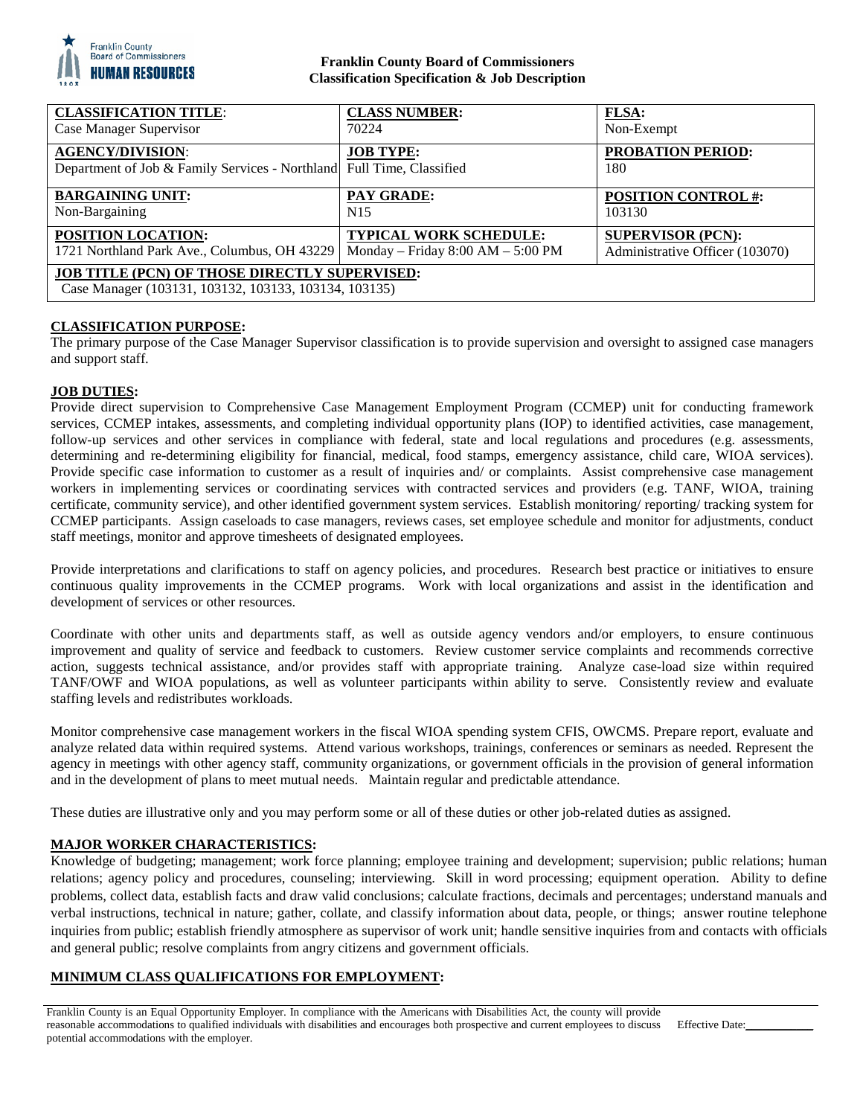

# **Franklin County Board of Commissioners Classification Specification & Job Description**

| <b>CLASSIFICATION TITLE:</b>                                                                                  | <b>CLASS NUMBER:</b>                | <b>FLSA:</b>                    |
|---------------------------------------------------------------------------------------------------------------|-------------------------------------|---------------------------------|
| Case Manager Supervisor                                                                                       | 70224                               | Non-Exempt                      |
| <b>AGENCY/DIVISION:</b><br>Department of Job & Family Services - Northland Full Time, Classified              | <b>JOB TYPE:</b>                    | <b>PROBATION PERIOD:</b><br>180 |
| <b>BARGAINING UNIT:</b>                                                                                       | <b>PAY GRADE:</b>                   | <b>POSITION CONTROL #:</b>      |
| Non-Bargaining                                                                                                | N <sub>15</sub>                     | 103130                          |
| POSITION LOCATION:                                                                                            | <b>TYPICAL WORK SCHEDULE:</b>       | <b>SUPERVISOR (PCN):</b>        |
| 1721 Northland Park Ave., Columbus, OH 43229                                                                  | Monday – Friday $8:00 AM - 5:00 PM$ | Administrative Officer (103070) |
| <b>JOB TITLE (PCN) OF THOSE DIRECTLY SUPERVISED:</b><br>Case Manager (103131, 103132, 103133, 103134, 103135) |                                     |                                 |

# **CLASSIFICATION PURPOSE:**

The primary purpose of the Case Manager Supervisor classification is to provide supervision and oversight to assigned case managers and support staff.

# **JOB DUTIES:**

Provide direct supervision to Comprehensive Case Management Employment Program (CCMEP) unit for conducting framework services, CCMEP intakes, assessments, and completing individual opportunity plans (IOP) to identified activities, case management, follow-up services and other services in compliance with federal, state and local regulations and procedures (e.g. assessments, determining and re-determining eligibility for financial, medical, food stamps, emergency assistance, child care, WIOA services). Provide specific case information to customer as a result of inquiries and/ or complaints. Assist comprehensive case management workers in implementing services or coordinating services with contracted services and providers (e.g. TANF, WIOA, training certificate, community service), and other identified government system services. Establish monitoring/ reporting/ tracking system for CCMEP participants. Assign caseloads to case managers, reviews cases, set employee schedule and monitor for adjustments, conduct staff meetings, monitor and approve timesheets of designated employees.

Provide interpretations and clarifications to staff on agency policies, and procedures. Research best practice or initiatives to ensure continuous quality improvements in the CCMEP programs. Work with local organizations and assist in the identification and development of services or other resources.

Coordinate with other units and departments staff, as well as outside agency vendors and/or employers, to ensure continuous improvement and quality of service and feedback to customers. Review customer service complaints and recommends corrective action, suggests technical assistance, and/or provides staff with appropriate training. Analyze case-load size within required TANF/OWF and WIOA populations, as well as volunteer participants within ability to serve. Consistently review and evaluate staffing levels and redistributes workloads.

Monitor comprehensive case management workers in the fiscal WIOA spending system CFIS, OWCMS. Prepare report, evaluate and analyze related data within required systems. Attend various workshops, trainings, conferences or seminars as needed. Represent the agency in meetings with other agency staff, community organizations, or government officials in the provision of general information and in the development of plans to meet mutual needs. Maintain regular and predictable attendance.

These duties are illustrative only and you may perform some or all of these duties or other job-related duties as assigned.

# **MAJOR WORKER CHARACTERISTICS:**

Knowledge of budgeting; management; work force planning; employee training and development; supervision; public relations; human relations; agency policy and procedures, counseling; interviewing. Skill in word processing; equipment operation. Ability to define problems, collect data, establish facts and draw valid conclusions; calculate fractions, decimals and percentages; understand manuals and verbal instructions, technical in nature; gather, collate, and classify information about data, people, or things; answer routine telephone inquiries from public; establish friendly atmosphere as supervisor of work unit; handle sensitive inquiries from and contacts with officials and general public; resolve complaints from angry citizens and government officials.

# **MINIMUM CLASS QUALIFICATIONS FOR EMPLOYMENT:**

Franklin County is an Equal Opportunity Employer. In compliance with the Americans with Disabilities Act, the county will provide reasonable accommodations to qualified individuals with disabilities and encourages both prospective and current employees to discuss potential accommodations with the employer. Effective Date: